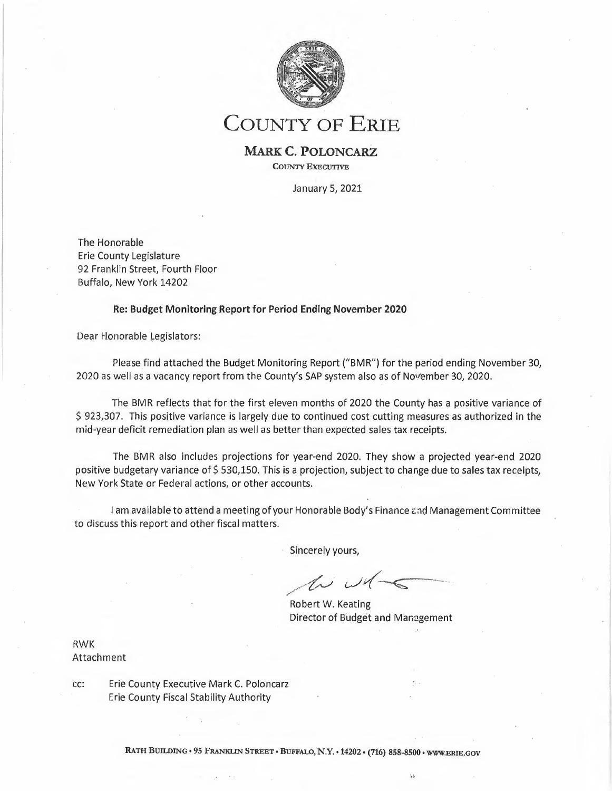

# **COUNTY OF ERIE**

### **MARK C; POLONCARZ COUNTY EXECUTIVE**

January 5, 2021

The Honorable Erie County Legislature 92 Franklin Street, Fourth Floor Buffalo, New York 14202

#### **Re: Budget Monitoring Report for Period Ending November 2020**

Dear Honorable Legislators:

Please find attached the Budget Monitoring Report ("BMR") for the period ending November 30, 2020 as well as a vacancy report from the County's SAP system also as of November 30, 2020.

The BMR reflects that for the first eleven months of 2020 the County has a positive variance of \$ 923,307. This positive variance is largely due to continued cost cutting measures as authorized in the mid-year deficit remediation plan as well as better than expected sales tax receipts.

The BMR also includes projections for year-end 2020. They show a projected year-end 2020 positive budgetary variance of \$530,150. This is a projection, subject to change due to sales tax receipts, New York State or Federal actions, or other accounts.

I am available to attend a meeting of your Honorable Body's Finance and Management Committee to discuss this report and other fiscal matters.

Sincerely yours,

*,/~ c.Jtf---ç---- --* .,,,.,,

Robert W. Keating Director of Budget and Management

١.

**RWK Attachment** 

cc: Erie County Executive Mark C. Poloncarz Erie County Fiscal Stability Authority

RATH BUILDING • 95 FRANKLIN STREET • BUFFALO, N.Y. • 14202 • (716) 858-8500 • WWW.ERIE.GOV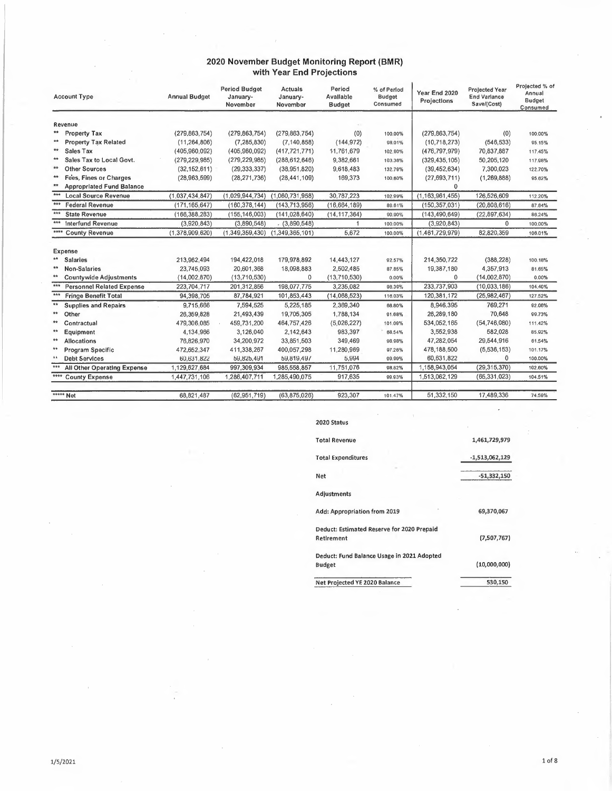#### **2020 November Budget Monitoring Report (BMR) with Year End Projections**

|              | <b>Account Type</b>              | <b>Annual Budget</b> | <b>Period Budget</b><br>January-<br>November | <b>Actuals</b><br>January-<br>November | Period<br>Avallable<br><b>Budget</b> | % of Period<br>Budget<br>Consumed | Year End 2020<br>Projections | Projected Year<br><b>End Variance</b><br>Save/(Cost) | Projected % of<br>Annual<br><b>Budget</b><br>Consumed |
|--------------|----------------------------------|----------------------|----------------------------------------------|----------------------------------------|--------------------------------------|-----------------------------------|------------------------------|------------------------------------------------------|-------------------------------------------------------|
|              | Revenue                          |                      |                                              |                                        |                                      |                                   |                              |                                                      |                                                       |
| $**$         | <b>Property Tax</b>              | (279, 863, 754)      | (279, 863, 754)                              | (279, 863, 754)                        | (0)                                  | 100.00%                           | (279, 863, 754)              | (0)                                                  | 100,00%                                               |
| $**$         | <b>Property Tax Related</b>      | (11, 264, 806)       | (7, 285, 830)                                | (7, 140, 858)                          | (144, 972)                           | 98.01%                            | (10,718,273)                 | (546, 533)                                           | 95.15%                                                |
| $**$         | <b>Sales Tax</b>                 | (405,960,092)        | (405,960,092)                                | (417, 721, 771)                        | 11,761,679                           | 102.90%                           | (476, 797, 979)              | 70,837,887                                           | 117.45%                                               |
| **           | Sales Tax to Local Govt.         | (279, 229, 985)      | (279, 229, 985)                              | (288, 612, 646)                        | 9,382,661                            | 103.36%                           | (329, 435, 105)              | 50,205,120                                           | 117.98%                                               |
| **           | <b>Other Sources</b>             | (32, 152, 611)       | (29, 333, 337)                               | (38,951,820)                           | 9,618,483                            | 132.79%                           | (39, 452, 634)               | 7,300,023                                            | 122.70%                                               |
| $**$         | Fees, Fines or Charges           | (28,963,599)         | (28, 271, 736)                               | (28, 441, 109)                         | 169,373                              | 100.60%                           | (27, 693, 711)               | (1, 269, 888)                                        | 95.62%                                                |
|              | <b>Appropriated Fund Balance</b> |                      |                                              |                                        |                                      |                                   | 0                            |                                                      |                                                       |
| $***$        | <b>Local Source Revenue</b>      | (1,037,434,847)      | (1,029,944,734)                              | (1,060,731,958)                        | 30.787.223                           | 102.99%                           | (1, 163, 961, 455)           | 126,526,609                                          | 112.20%                                               |
| $***$        | <b>Federal Revenue</b>           | (171, 165, 647)      | (160, 378, 144)                              | (143, 713, 956)                        | (16,664,189)                         | 89.61%                            | (150, 357, 031)              | (20,808,616)                                         | 87.84%                                                |
| 青青素          | <b>State Revenue</b>             | (166, 388, 283)      | (155, 146, 003)                              | (141, 028, 640)                        | (14, 117, 364)                       | 90.90%                            | (143, 490, 649)              | (22, 897, 634)                                       | 86.24%                                                |
| 青青素          | <b>Interfund Revenue</b>         | (3,920,843)          | (3,890,548)                                  | (3,890,548)                            | 1                                    | 100.00%                           | (3,920,843)                  | $\mathbf{0}$                                         | 100.00%                                               |
| ****         | <b>County Revenue</b>            | (1,378,909,620)      | (1,349,359,430)                              | (1,349,365,101)                        | 5,672                                | 100.00%                           | (1,461,729,979)              | 82,820,359                                           | 106.01%                                               |
|              | Expense                          |                      |                                              |                                        |                                      |                                   |                              |                                                      |                                                       |
| **           | <b>Salaries</b>                  | 213,962,494          | 194,422,018                                  | 179,978,892                            | 14,443,127                           | 92.57%                            | 214,350,722                  | (388, 228)                                           | 100.18%                                               |
| <b>A</b>     | <b>Non-Salaries</b>              | 23,745,093           | 20,601,368                                   | 18,098,883                             | 2,502,485                            | 87.85%                            | 19,387,180                   | 4,357,913                                            | 81.65%                                                |
| $**$         | <b>Countywide Adjustments</b>    | (14,002,870)         | (13,710,530)                                 | 0                                      | (13,710,530)                         | 0.00%                             | 0                            | (14,002,870)                                         | 0.00%                                                 |
| ***          | <b>Personnel Related Expense</b> | 223,704,717          | 201,312,856                                  | 198,077,775                            | 3,235,082                            | 98.39%                            | 233,737,903                  | (10,033,186)                                         | 104.49%                                               |
| ***          | <b>Fringe Benefit Total</b>      | 94,398,705           | 87,784,921                                   | 101,853,443                            | (14,068,523)                         | 116.03%                           | 120,381,172                  | (25,982,467)                                         | 127.52%                                               |
| $\star\star$ | <b>Supplies and Repairs</b>      | 9,715,666            | 7,594,525                                    | 5,225,185                              | 2,369,340                            | 68.80%                            | 8,946,395                    | 769,271                                              | 92.08%                                                |
| **           | Other                            | 26,359,828           | 21,493,439                                   | 19,705,305                             | 1,788,134                            | 91.68%                            | 26,289,180                   | 70,648                                               | 99.73%                                                |
| **           | Contractual                      | 479,306,085          | 459,731,200                                  | 464.757.426                            | (5,026,227)                          | 101.09%                           | 534,052,165                  | (54,746,080)                                         | 111.42%                                               |
| ₩,           | Equipment                        | 4,134,966            | 3,126,040                                    | 2,142,643                              | 983,397                              | 68.54%                            | 3,552,938                    | 582,028                                              | 85.92%                                                |
| **           | <b>Allocations</b>               | 76,826,970           | 34,200,972                                   | 33,851,503                             | 349,469                              | 98.98%                            | 47,282,054                   | 29,544,916                                           | 61.54%                                                |
| th th        | Program Specific                 | 472,652,347          | 411,338,267                                  | 400,057,298                            | 11,280,969                           | 97.26%                            | 478,188,500                  | (5,536,153)                                          | 101.17%                                               |
| 44           | <b>Debt Services</b>             | 60,631,822           | 59,825,491                                   | 59,819,497                             | 5,994                                | 99.99%                            | 60,631,822                   | Õ                                                    | 100.00%                                               |
| ***          | All Other Operating Expense      | 1,129,627,684        | 997,309,934                                  | 985,558,857                            | 11,751,076                           | 98.82%                            | 1,158,943,054                | (29,315,370)                                         | 102.60%                                               |
| ****         | <b>County Expense</b>            | 1,447,731,106        | 1,286,407,711                                | 1,285,490,075                          | 917.635                              | 99.93%                            | 1,513,062,129                | (65, 331, 023)                                       | 104.51%                                               |
|              | ***** Net                        | 68,821,487           | (62,951,719)                                 | (63,875,026)                           | 923,307                              | 101.47%                           | 51,332,150                   | 17,489,336                                           | 74.59%                                                |

| Net Projected YE 2020 Balance                               | 530,150          |
|-------------------------------------------------------------|------------------|
| Deduct: Fund Balance Usage in 2021 Adopted<br><b>Budget</b> | (10,000,000)     |
| Deduct: Estimated Reserve for 2020 Prepaid<br>Retirement    | (7,507,767)      |
| Add: Appropriation from 2019                                | 69,370,067       |
| <b>Adjustments</b>                                          |                  |
| Net                                                         | $-51,332,150$    |
| <b>Total Expenditures</b>                                   | $-1,513,062,129$ |
| <b>Total Revenue</b>                                        | 1,461,729,979    |
| 2020 Status                                                 |                  |
|                                                             |                  |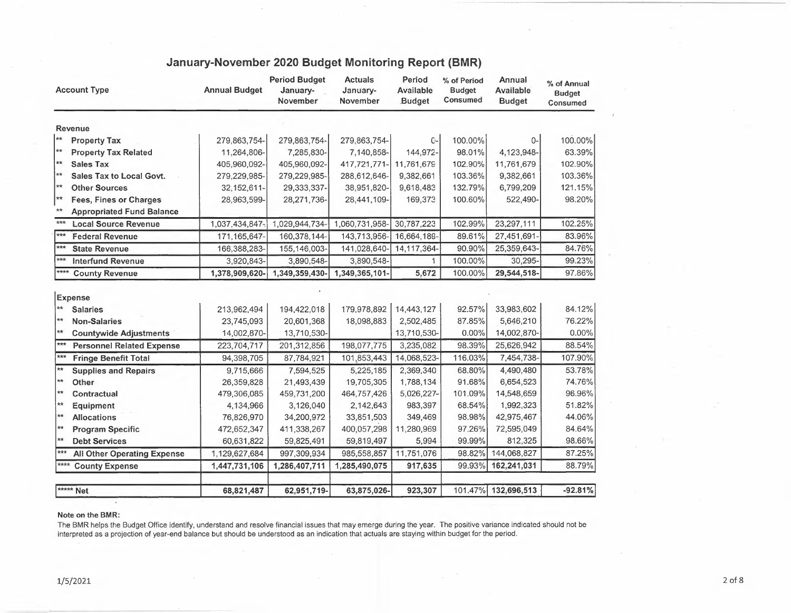|                              | <b>Account Type</b>                | <b>Annual Budget</b> | <b>Period Budget</b><br>January-<br>November | <b>Actuals</b><br>January-<br>November | Period<br>Available<br><b>Budget</b> | % of Period<br><b>Budget</b><br>Consumed | Annual<br><b>Available</b><br><b>Budget</b> | % of Annual<br><b>Budget</b><br>Consumed |
|------------------------------|------------------------------------|----------------------|----------------------------------------------|----------------------------------------|--------------------------------------|------------------------------------------|---------------------------------------------|------------------------------------------|
|                              | <b>Revenue</b>                     |                      |                                              |                                        |                                      |                                          |                                             |                                          |
| $\star\star$                 | <b>Property Tax</b>                | 279,863,754-         | 279,863,754-                                 | 279,863,754-                           | $C-$                                 | 100.00%                                  | 0-                                          | 100.00%                                  |
| $\star\star$                 | <b>Property Tax Related</b>        | 11,264,806-          | 7,285,830-                                   | 7,140,858-                             | 144,972-                             | 98.01%                                   | 4,123,948-                                  | 63.39%                                   |
| $\star\star$                 | <b>Sales Tax</b>                   | 405,960,092-         | 405,960,092-                                 | 417,721,771-                           | 11,761,679                           | 102.90%                                  | 11,761,679                                  | 102.90%                                  |
| $\star\star$                 | Sales Tax to Local Govt.           | 279,229,985-         | 279,229,985-                                 | 288,612,646-                           | 9,382,661                            | 103.36%                                  | 9,382,661                                   | 103.36%                                  |
| $**$                         | <b>Other Sources</b>               | 32, 152, 611-        | 29,333,337-                                  | 38,951,820-                            | 9,618,483                            | 132.79%                                  | 6,799,209                                   | 121.15%                                  |
| $\star\star$                 | <b>Fees, Fines or Charges</b>      | 28,963,599-          | 28,271,736-                                  | 28,441,109-                            | 169,373                              | 100.60%                                  | 522,490-                                    | 98.20%                                   |
| $***$                        | <b>Appropriated Fund Balance</b>   |                      |                                              |                                        |                                      |                                          |                                             |                                          |
| $***$                        | <b>Local Source Revenue</b>        | 1,037,434,847-       | 1,029,944,734-                               | 1,060,731,958-                         | 30,787,223                           | 102.99%                                  | 23,297,111                                  | 102.25%                                  |
| $***$                        | <b>Federal Revenue</b>             | 171,165,647-         | 160,378,144-                                 | 143,713,956-                           | 16,664,189-                          | 89.61%                                   | 27,451,691-                                 | 83.96%                                   |
| $***$                        | <b>State Revenue</b>               | 166,388,283-         | 155, 146, 003-                               | 141,028,640-                           | 14,117,364-                          | 90.90%                                   | 25,359,643-                                 | 84.76%                                   |
| $***$                        | <b>Interfund Revenue</b>           | 3,920,843-           | 3,890,548-                                   | 3,890,548-                             | $\mathbf{1}$                         | 100.00%                                  | 30,295-                                     | 99.23%                                   |
| ****                         | <b>County Revenue</b>              | 1,378,909,620-       | 1,349,359,430-                               | 1,349,365,101-                         | 5,672                                | 100.00%                                  | 29,544,518-                                 | 97.86%                                   |
|                              | <b>Expense</b>                     |                      |                                              |                                        |                                      |                                          |                                             |                                          |
| $\star\star$                 | <b>Salaries</b>                    | 213,962,494          | 194,422,018                                  | 179,978,892                            | 14,443,127                           | 92.57%                                   | 33,983,602                                  | 84.12%                                   |
| **                           | <b>Non-Salaries</b>                | 23,745,093           | 20,601,368                                   | 18,098,883                             | 2,502,485                            | 87.85%                                   | 5,646,210                                   | 76.22%                                   |
| $**$                         | <b>Countywide Adjustments</b>      | 14,002,870-          | 13,710,530-                                  |                                        | 13,710,530-                          | $0.00\%$                                 | 14,002,870-                                 | 0.00%                                    |
| ***                          | <b>Personnel Related Expense</b>   | 223,704,717          | 201,312,856                                  | 198,077,775                            | 3,235,082                            | 98.39%                                   | 25,626,942                                  | 88.54%                                   |
| $***$                        | <b>Fringe Benefit Total</b>        | 94,398,705           | 87,784,921                                   | 101,853,443                            | 14,068,523-                          | 116.03%                                  | 7,454,738-                                  | 107.90%                                  |
| $\star\star$                 | <b>Supplies and Repairs</b>        | 9,715,666            | 7,594,525                                    | 5,225,185                              | 2,369,340                            | 68.80%                                   | 4,490,480                                   | 53.78%                                   |
| $\star\star$                 | Other                              | 26,359,828           | 21,493,439                                   | 19,705,305                             | 1,788,134                            | 91.68%                                   | 6,654,523                                   | 74.76%                                   |
| $\star\star$<br>$\star\star$ | Contractual                        | 479,306,085          | 459,731,200                                  | 464,757,426                            | 5,026,227-                           | 101.09%                                  | 14,548,659                                  | 96.96%                                   |
| $\star\star$                 | Equipment                          | 4,134,966            | 3,126,040                                    | 2,142,643                              | 983,397                              | 68.54%                                   | 1,992,323                                   | 51.82%                                   |
| $**$                         | <b>Allocations</b>                 | 76,826,970           | 34,200,972                                   | 33,851,503                             | 349,469                              | 98.98%                                   | 42,975,467                                  | 44.06%                                   |
| $\star\star$                 | <b>Program Specific</b>            | 472,652,347          | 411,338,267                                  | 400,057,298                            | 11,280,969                           | 97.26%                                   | 72,595,049                                  | 84.64%                                   |
| $***$                        | <b>Debt Services</b>               | 60,631,822           | 59,825,491                                   | 59,819,497                             | 5,994                                | 99.99%                                   | 812,325                                     | 98.66%                                   |
| $***$                        | <b>All Other Operating Expense</b> | 1,129,627,684        | 997,309,934                                  | 985,558,857                            | 11,751,076                           | 98.82%                                   | 144,068,827                                 | 87.25%                                   |
|                              | <b>County Expense</b>              | 1,447,731,106        | 1,286,407,711                                | 1,285,490,075                          | 917,635                              | 99.93%                                   | 162,241,031                                 | 88.79%                                   |
|                              | ***** Net                          | 68,821,487           | 62,951,719-                                  | 63,875,026-                            | 923,307                              |                                          | 101.47% 132,696,513                         | $-92.81%$                                |

## **January-November 2020 Budget Monitoring Report (BMR)**

#### **Note on the BMR:**

The BMR helps the Budget Office identify, understand and resolve financial issues that may emerge during the year. The positive variance indicated should not be interpreted as a projection of year-end balance but should be understood as an indication that actuals are staying within budget for the period.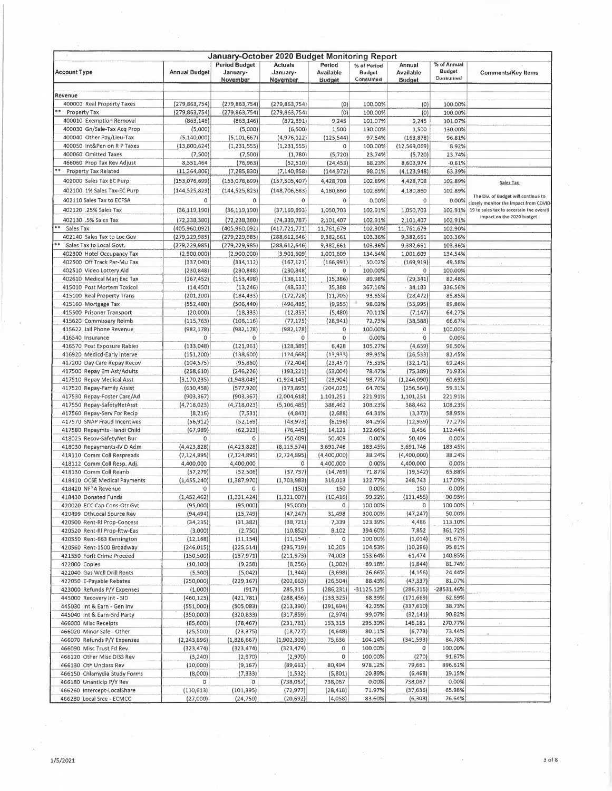| January-October 2020 Budget Monitoring Report |                      |                      |                 |               |               |                |               |                                          |
|-----------------------------------------------|----------------------|----------------------|-----------------|---------------|---------------|----------------|---------------|------------------------------------------|
|                                               |                      | <b>Period Budget</b> | Actuals         | Period        | % of Period   | Annual         | % of Annual   |                                          |
| <b>Account Type</b>                           | <b>Annual Budget</b> | January-             | January-        | Available     | <b>Budget</b> | Available      | <b>Budget</b> | <b>Comments/Key Items</b>                |
|                                               |                      | November             | November        | <b>Budget</b> | Consumed      | <b>Budget</b>  | Consumed      |                                          |
|                                               |                      |                      |                 |               |               |                |               |                                          |
| Revenue                                       |                      |                      |                 |               |               |                |               |                                          |
| 400000 Real Property Taxes                    | (279, 863, 754)      | (279, 863, 754)      | (279, 863, 754) | (0)           | 100.00%       | (0)            | 100.00%       |                                          |
| Property Tax                                  | (279, 863, 754)      | (279, 863, 754)      | (279, 863, 754) | (0)           | 100.00%       | (0)            | 100.00%       |                                          |
| 400010 Exemption Removal                      | (863, 146)           | (863, 146)           | (872, 391)      | 9,245         | 101.07%       | 9,245          | 101.07%       |                                          |
| 400030 Gn/Sale-Tax Acq Prop                   | (5,000)              | (5,000)              | (6,500)         | 1,500         | 130.00%       | 1,500          | 130.00%       |                                          |
| 400040 Other Pay/Lieu-Tax                     | (5, 140, 000)        | (5, 101, 667)        | (4, 976, 122)   |               | 97.54%        |                |               |                                          |
|                                               |                      |                      |                 | (125, 544)    |               | (163, 878)     | 96.81%        |                                          |
| 400050 Int&Pen on R P Taxes                   | (13,800,624)         | (1, 231, 555)        | (1, 231, 555)   | 0             | 100.00%       | (12, 569, 069) | 8.92%         |                                          |
| 400060 Omitted Taxes                          | (7,500)              | (7,500)              | (1,780)         | (5, 720)      | 23.74%        | (5, 720)       | 23.74%        |                                          |
| 466060 Prop Tax Rev Adjust                    | 8,551,464            | (76, 963)            | (52, 510)       | (24, 453)     | 68.23%        | 8,603,974      | $-0.61%$      |                                          |
| <b>Property Tax Related</b>                   | (11, 264, 806)       | (7, 285, 830)        | (7, 140, 858)   | (144, 972)    | 98.01%        | (4, 123, 948)  | 63.39%        |                                          |
| 402000 Sales Tax EC Purp                      | (153,076,699)        | (153,076,699)        | (157, 505, 407) | 4,428,708     | 102.89%       | 4,428,708      | 102.89%       | Sales Tax                                |
|                                               |                      |                      |                 |               |               |                |               |                                          |
| 402100 1% Sales Tax-EC Purp                   | (144, 525, 823)      | (144, 525, 823)      | (148, 706, 683) | 4,180,860     | 102.89%       | 4,180,860      | 102.89%       | The Div. of Budget will continue to      |
| 402110 Sales Tax to ECFSA                     | 0                    | 0                    | $\circ$         | 0             | 0.00%         | 0              | 0.00%         | closely monitor the impact from COVID-   |
| 402120 .25% Sales Tax                         | (36, 119, 190)       | (36, 119, 190)       | (37, 169, 893)  | 1,050,703     | 102.91%       | 1,050,703      | 102.91%       | 19 to sales tax to ascertain the overall |
| 402130 .5% Sales Tax                          | (72, 238, 380)       | (72, 238, 380)       | (74, 339, 787)  | 2,101,407     | 102.91%       | 2,101,407      | 102.91%       | impact on the 2020 budget.               |
| 束章                                            |                      |                      |                 |               |               |                |               |                                          |
| Sales Tax                                     | (405,960,092)        | (405,960,092)        | (417, 721, 771) | 11,761,679    | 102.90%       | 11,761,679     | 102.90%       |                                          |
| 402140 Sales Tax to Loc Gov                   | (279, 229, 985)      | (279, 229, 985)      | (288, 612, 646) | 9,382,661     | 103.36%       | 9,382,661      | 103.36%       |                                          |
| Sales Tax to Local Govt.                      | (279, 229, 985)      | (279, 229, 985)      | (288, 612, 646) | 9,382,661     | 103.36%       | 9,382,661      | 103.36%       |                                          |
| 402300 Hotel Occupancy Tax                    | (2,900,000)          | (2,900,000)          | (3,901,609)     | 1,001,609     | 134.54%       | 1,001,609      | 134.54%       |                                          |
| 402500 Off Track Par-Mu Tax                   | (337,040)            | (334, 112)           | (167, 121)      | (166, 991)    | 50.02%        | (169, 919)     | 49.58%        |                                          |
| 402510 Video Lottery Aid                      | (230, 848)           | (230, 848)           | (230, 848)      | 0             | 100.00%       | $\circ$        | 100.00%       |                                          |
| 402610 Medical Marj Exc Tax                   | (167, 452)           | (153, 498)           | (138, 111)      | (15, 386)     | 89.98%        | (29, 341)      | 82.48%        |                                          |
| 415010 Post Mortem Toxicol                    | (14, 450)            | (13, 246)            | (48, 633)       | 35,388        | 367.16%       | .34,183        | 336.56%       |                                          |
|                                               |                      |                      | (172, 728)      |               |               |                |               |                                          |
| 415100 Real Property Trans                    | (201, 200)           | (184, 433)           |                 | (11,705)      | 93.65%        | (28, 472)      | 85.85%        |                                          |
| 415160 Mortgage Tax                           | (552, 480)           | (506, 440)           | (496, 485)      | (9,955)       | 98.03%        | (55, 995)      | 89,86%        |                                          |
| 415500 Prisoner Transport                     | (20,000)             | (18, 333)            | (12, 853)       | (5,480)       | 70.11%        | (7, 147)       | 64.27%        |                                          |
| 415620 Commissary Reimb                       | (115, 763)           | (106, 116)           | (77, 175)       | (28, 941)     | 72.73%        | (38, 588)      | 66.67%        |                                          |
| 415622 Jail Phone Revenue                     | (982, 178)           | (982, 178)           | (982, 178)      | 0             | 100.00%       | 0              | 100.00%       |                                          |
| 416540 Insurance                              | 0                    | 0                    | 0               | 0             | 0.00%         | $\mathbf 0$    | 0.00%         |                                          |
| 416570 Post Exposure Rabies                   | (133,048)            | (121, 961)           | (128, 389)      | 6,428         | 105.27%       | (4,659)        | 96.50%        |                                          |
|                                               |                      |                      |                 |               | 89.95%        |                | 82.45%        |                                          |
| 416920 Medicd-Early Interve                   | (151, 200)           | (138, 600)           | (124, 668)      | (13,933)      |               | (26, 533)      |               |                                          |
| 417200 Day Care Repay Recov                   | (104, 575)           | (95, 860)            | (72, 404)       | (23, 457)     | 75.53%        | (32, 171)      | 69.24%        |                                          |
| 417500 Repay Em Ast/Adults                    | (268, 610)           | (246, 226)           | (193, 221)      | (53,004)      | 78.47%        | (75, 389)      | 71.93%        |                                          |
| 417510 Repay Medical Asst                     | (3, 170, 235)        | (1,948,049)          | (1,924,145)     | (23,904)      | 98.77%        | (1, 246, 090)  | 60,69%        |                                          |
| 417520 Repay-Family Assist                    | (630, 458)           | (577, 920)           | (373, 895)      | (204, 025)    | 64.70%        | (256, 564)     | 59.31%        |                                          |
| 417530 Repay-Foster Care/Ad                   | (903, 367)           | (903, 367)           | (2,004,618)     | 1,101,251     | 221.91%       | 1,101,251      | 221.91%       |                                          |
| 417550 Repay-SafetyNetAsst                    | (4, 718, 023)        | (4,718,023)          | (5, 106, 485)   | 388,462       | 108.23%       | 388,462        | 108.23%       |                                          |
| 417560 Repay-Serv For Recip                   | (8, 216)             | (7, 531)             | (4, 843)        | (2,688)       | 64.31%        | (3, 373)       | 58.95%        |                                          |
| 417570 SNAP Fraud Incentives                  | (56, 912)            | (52, 169)            | (43,973)        | (8, 196)      | 84.29%        | (12, 939)      | 77.27%        |                                          |
|                                               |                      |                      |                 |               |               |                |               |                                          |
| 417580 Repaymts-Handi Child                   | (67, 989)            | (62, 323)            | (76, 445)       | 14,121        | 122.66%       | 8,456          | 112.44%       |                                          |
| 418025 Recov-SafetyNet Bur                    | 0                    | 0                    | (50, 409)       | 50,409        | 0.00%         | 50,409         | 0.00%         |                                          |
| 418030 Repayments-IV D Adm                    | (4,423,828)          | (4,423,828)          | (8, 115, 574)   | 3,691,746     | 183.45%       | 3,691,746      | 183.45%       |                                          |
| 418110 Comm Coll Respreads                    | (7, 124, 895)        | (7, 124, 895)        | (2,724,895)     | (4,400,000)   | 38.24%        | (4,400,000)    | 38.24%        |                                          |
| 418112 Comm Coll Resp. Adj.                   | 4,400,000            | 4,400,000            | 0               | 4,400,000     | 0.00%         | 4,400,000      | 0.00%         |                                          |
| 418130 Comm Coll Reimb                        | (57, 279)            | (52, 506)            | (37, 737)       | (14, 769)     | 71.87%        | (19, 542)      | 65.88%        |                                          |
| 418410 OCSE Medical Payments                  | (1, 455, 240)        | (1,387,970)          | (1,703,983)     | 316,013       | 122.77%       | 248,743        | 117.09%       |                                          |
| 418420 NFTA Revenue                           | 0                    | 0                    | (150)           | 150           | 0.00%         | 150            | 0.00%         |                                          |
|                                               |                      |                      |                 |               |               |                |               |                                          |
| 418430 Donated Funds                          | (1,452,462)          | (1,331,424)          | (1,321,007)     | (10, 416)     | 99.22%        | (131,455)      | 90.95%        |                                          |
| 420020 ECC Cap Cons-Otr Gvt                   | (95,000)             | (95,000)             | (95,000)        | 0             | 100.00%       | 0              | 100.00%       |                                          |
| 420499 OthLocal Source Rev                    | (94,494)             | (15, 749)            | (47, 247)       | 31,498        | 300.00%       | (47, 247)      | 50.00%        |                                          |
| 420500 Rent-RI Prop-Concess                   | (34, 235)            | (31, 382)            | (38, 721)       | 7,339         | 123.39%       | 4,486          | 113.10%       |                                          |
| 420520 Rent-RI Prop-Rtw-Eas                   | (3,000)              | (2,750)              | (10, 852)       | 8,102         | 394.60%       | 7,852          | 361.72%       |                                          |
| 420550 Rent-663 Kensington                    | (12, 168)            | (11, 154)            | (11, 154)       | 0             | 100.00%       | (1,014)        | 91.67%        |                                          |
| 420560 Rent-1500 Broadway                     | (246, 015)           | (225, 514)           | (235, 719)      | 10,205        | 104.53%       | (10, 296)      | 95.81%        |                                          |
| 421550 Forft Crime Proceed                    | (150, 500)           | (137, 971)           | (211, 973)      | 74,003        | 153.64%       | 61,474         | 140.85%       |                                          |
| 422000 Copies                                 | (10, 100)            | (9, 258)             | (8, 256)        | (1,002)       | 89.18%        | (1,844)        | 81.74%        |                                          |
| 422040 Gas Well Drill Rents                   | (5,500)              | (5,042)              | (1, 344)        | (3,698)       | 26.66%        | (4, 156)       | 24.44%        |                                          |
|                                               |                      |                      |                 |               | 88.43%        |                | 81.07%        |                                          |
| 422050 E-Payable Rebates                      | (250,000)            | (229, 167)           | (202, 663)      | (26, 504)     |               | (47, 337)      |               |                                          |
| 423000 Refunds P/Y Expenses                   | (1,000)              | (917)                | 285,315         | (286, 231)    | -31125.12%    | (286, 315)     | $-28531.46%$  |                                          |
| 445000 Recovery Int - SID                     | (460, 125)           | (421,781)            | (288, 456)      | (133, 325)    | 68.39%        | (171, 669)     | 62.69%        |                                          |
| 445030 Int & Earn - Gen Inv                   | (551,000)            | (505, 083)           | (213, 390)      | (291, 694)    | 42.25%        | (337, 610)     | 38.73%        |                                          |
| 445040 Int & Earn-3rd Party                   | (350,000)            | (320, 833)           | (317, 859)      | (2,974)       | 99.07%        | (32, 141)      | 90.82%        |                                          |
| 466000 Misc Recelpts                          | (85,600)             | (78, 467)            | (231,781)       | 153,315       | 295.39%       | 146,181        | 270.77%       |                                          |
| 466020 Minor Sale - Other                     | (25,500)             | (23, 375)            | (18, 727)       | (4, 648)      | 80.11%        | (6, 773)       | 73.44%        |                                          |
| 466070 Refunds P/Y Expenses                   | (2, 243, 896)        | (1,826,667)          | (1,902,303)     | 75,636        | 104.14%       | (341, 593)     | 84.78%        |                                          |
|                                               |                      |                      |                 |               |               |                |               |                                          |
| 466090 Misc Trust Fd Rev                      | (323, 474)           | (323, 474)           | (323, 474)      | 0             | 100.00%       | 0              | 100.00%       |                                          |
| 466120 Other Misc DISS Rev                    | (3, 240)             | (2,970)              | (2,970)         | 0             | 100.00%       | (270)          | 91.67%        |                                          |
| 466130 Oth Unclass Rev                        | (10,000)             | (9, 167)             | (89, 661)       | 80,494        | 978.12%       | 79,661         | 896.61%       |                                          |
| 466150 Chlamydia Study Forms                  | (8,000)              | (7, 333)             | (1, 532)        | (5,801)       | 20.89%        | (6, 468)       | 19.15%        |                                          |
| 466180 Unanticip P/Y Rev                      | 0                    | 0                    | (738,067)       | 738,067       | 0.00%         | 738,067        | 0.00%         |                                          |
| 466260 Intercept-LocalShare                   | (110, 613)           | (101, 395)           | (72, 977)       | (28, 418)     | 71.97%        | (37, 636)      | 65.98%        |                                          |
| 466280 Local Srce - ECMCC                     | (27,000)             | (24,750)             | (20, 692)       | (4,058)       | 83.60%        | (6, 308)       | 76.64%        |                                          |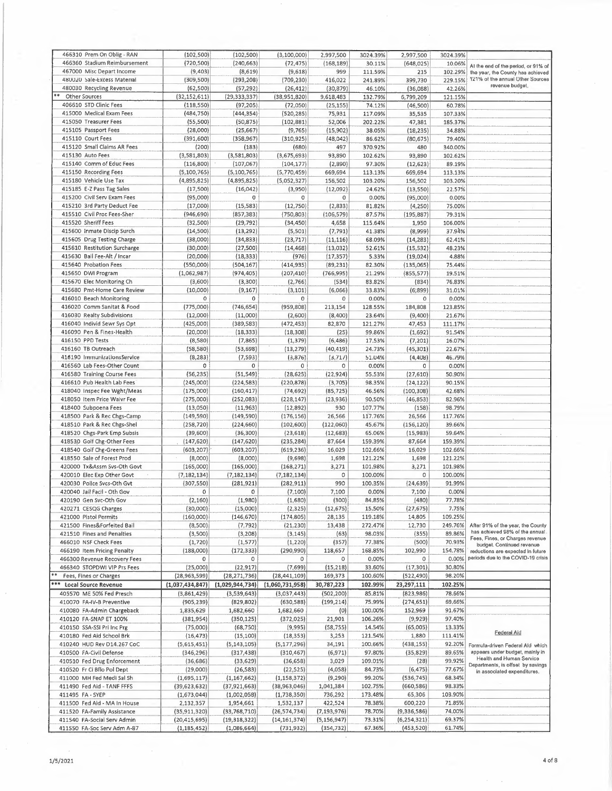| 466310 Prem On Oblig - RAN   | (102, 500)         | (102, 500)      | (3,100,000)     | 2,997,500     | 3024.39% | 2,997,500     | 3024.39% |                                                                          |
|------------------------------|--------------------|-----------------|-----------------|---------------|----------|---------------|----------|--------------------------------------------------------------------------|
| 466360 Stadium Reimbursement | (720, 500)         | (240, 663)      | (72, 475)       | (168, 189)    | 30.11%   | (648, 025)    | 10.06%   |                                                                          |
| 467000 Misc Depart Income    | (9, 403)           | (8,619)         | (9,618)         | 999           | 111.59%  | 215           | 102.29%  | At the end of the period, or 91% of<br>the year, the County has achieved |
|                              |                    | (293, 208)      |                 | 416,022       |          |               |          | 121% of the annual Other Sources                                         |
| 480020 Sale-Excess Material  | (309,500)          |                 | (709, 230)      |               | 241.89%  | 399,730       | 229.15%  | revenue budget.                                                          |
| 480030 Recycling Revenue     | (62, 500)          | (57, 292)       | (26, 412)       | (30, 879)     | 46.10%   | (36,088)      | 42.26%   |                                                                          |
| Other Sources                | (32, 152, 611)     | (29, 333, 337)  | (38,951,820)    | 9,618,483     | 132.79%  | 6,799,209     | 121.15%  |                                                                          |
| 406610 STD Clinic Fees       | (118, 550)         | (97, 205)       | (72,050)        | (25, 155)     | 74.12%   | (46, 500)     | 60.78%   |                                                                          |
| 415000 Medical Exam Fees     | (484,750)          | (444, 354)      | (520, 285)      | 75,931        | 117.09%  | 35,535        | 107.33%  |                                                                          |
| 415050 Treasurer Fees        | (55,500)           | (50, 875)       | (102, 881)      | 52,006        | 202.22%  | 47,381        | 185.37%  |                                                                          |
| 415105 Passport Fees         | (28,000)           | (25, 667)       | (9, 765)        | (15,902)      | 38.05%   | (18, 235)     | 34,88%   |                                                                          |
| 415110 Court Fees            |                    |                 |                 |               |          |               |          |                                                                          |
|                              | (391, 600)         | (358, 967)      | (310, 925)      | (48, 042)     | 86.62%   | (80, 675)     | 79,40%   |                                                                          |
| 415120 Small Claims AR Fees  | (200)              | (183)           | (680)           | 497           | 370.92%  | 480           | 340.00%  |                                                                          |
| 415130 Auto Fees             | (3,581,803)        | (3,581,803)     | (3,675,693)     | 93,890        | 102.62%  | 93,890        | 102.62%  |                                                                          |
| 415140 Comm of Educ Fees     | (116, 800)         | (107, 067)      | (104, 177)      | (2,890)       | 97.30%   | (12, 623)     | 89.19%   |                                                                          |
| 415150 Recording Fees        | (5,100,765)        | (5, 100, 765)   | (5,770,459)     | 669,694       | 113.13%  | 669,694       | 113.13%  |                                                                          |
| 415180 Vehicle Use Tax       | (4,895,825)        | (4,895,825)     |                 | 156,502       | 103.20%  |               | 103.20%  |                                                                          |
|                              |                    |                 | (5,052,327)     |               |          | 156,502       |          |                                                                          |
| 415185 E-Z Pass Tag Sales    | (17, 500)          | (16, 042)       | (3,950)         | (12,092)      | 24.62%   | (13, 550)     | 22.57%   |                                                                          |
| 415200 Civil Serv Exam Fees  | (95,000)           | $\,0\,$         | 0               | $\mathbf 0$   | 0.00%    | (95,000)      | 0.00%    |                                                                          |
| 415210 3rd Party Deduct Fee  | (17,000)           | (15, 583)       | (12, 750)       | (2,833)       | 81.82%   | (4,250)       | 75.00%   |                                                                          |
| 415510 Civil Proc Fees-Sher  | (946, 690)         | (857, 383)      | (750, 803)      | (106, 579)    | 87.57%   | (195, 887)    | 79.31%   |                                                                          |
| 415520 Sheriff Fees          | (32, 500)          | (29, 792)       | (34, 450)       | 4,658         | 115.64%  | 1,950         | 106.00%  |                                                                          |
|                              |                    |                 |                 |               |          |               |          |                                                                          |
| 415600 Inmate Discip Surch   | (14, 500)          | (13, 292)       | (5, 501)        | (7, 791)      | 41.38%   | (8,999)       | 37.94%   |                                                                          |
| 415605 Drug Testing Charge   | (38,000)           | (34, 833)       | (23, 717)       | (11, 116)     | 68.09%   | (14, 283)     | 62.41%   |                                                                          |
| 415610 Restitution Surcharge | (30,000)           | (27, 500)       | (14, 468)       | (13,032)      | 52.61%   | (15, 532)     | 48.23%   |                                                                          |
| 415630 Ball Fee-Alt / Incar  | (20,000)           | (18, 333)       | (976)           | (17, 357)     | 5.33%    | (19, 024)     | 4.88%    |                                                                          |
| 415640 Probation Fees        | (550,000)          | (504, 167)      | (414, 935)      | (89, 231)     | 82.30%   | (135,065)     | 75.44%   |                                                                          |
| 415650 DWI Program           | (1,062,987)        | (974, 405)      | (207, 410)      | (766, 995)    | 21.29%   | (855, 577)    | 19.51%   |                                                                          |
|                              |                    |                 |                 |               |          |               |          |                                                                          |
| 415670 Elec Monitoring Ch    | (3,600)            | (3,300)         | (2,766)         | (534)         | 83.82%   | (834)         | 76.83%   |                                                                          |
| 415680 Pmt-Home Care Review  | (10,000)           | (9, 167)        | (3, 101)        | (6,066)       | 33.83%   | (6, 899)      | 31.01%   |                                                                          |
| 416010 Beach Monitoring      | 0                  | 0               | 0               | 0             | 0.00%    | $\circ$       | 0.00%    |                                                                          |
| 416020 Comm Sanitat & Food   | (775,000)          | (746, 654)      | (959, 808)      | 213,154       | 128.55%  | 184,808       | 123.85%  |                                                                          |
| 416030 Realty Subdivisions   | (12,000)           | (11,000)        | (2,600)         | (8,400)       | 23.64%   | (9,400)       | 21.67%   |                                                                          |
| 416040 Individ Sewr Sys Opt  | (425,000)          | (389, 583)      | (472, 453)      |               | 121.27%  | 47,453        | 111.17%  |                                                                          |
|                              |                    |                 |                 | 82,870        |          |               |          |                                                                          |
| 416090 Pen & Fines-Health    | (20,000)           | (18, 333)       | (18, 308)       | (25)          | 99.86%   | (1,692)       | 91.54%   |                                                                          |
| 416150 PPD Tests             | (8,580)            | (7, 865)        | (1, 379)        | (6, 486)      | 17.53%   | (7, 201)      | 16.07%   |                                                                          |
| 416160 TB Outreach           | (58, 580)          | (53, 698)       | (13, 279)       | (40, 419)     | 24.73%   | (45, 301)     | 22.67%   |                                                                          |
| 416190 ImmunizationsService  | (8, 283)           | (7, 593)        | (3,876)         | (3,711)       | 51.04%   | (4,408)       | 46.79%   |                                                                          |
| 416560 Lab Fees-Other Count  | 0                  | 0               | 0               | 0             | 0.00%    | $\circ$       | 0.00%    |                                                                          |
|                              |                    |                 |                 |               |          |               |          |                                                                          |
| 416580 Training Course Fees  | (56, 235)          | (51, 549)       | (28, 625)       | (22, 924)     | 55.53%   | (27,610)      | 50.90%   |                                                                          |
| 416610 Pub Health Lab Fees   | (245,000)          | (224, 583)      | (220, 878)      | (3,705)       | 98.35%   | (24, 122)     | 90.15%   |                                                                          |
| 418040 Inspec Fee Wght/Meas  | (175,000)          | (160, 417)      | (74, 692)       | (85, 725)     | 46.56%   | (100, 308)    | 42.68%   |                                                                          |
| 418050 Item Price Waivr Fee  | (275,000)          | (252, 083)      | (228, 147)      | (23,936)      | 90.50%   | (46, 853)     | 82.96%   |                                                                          |
| 418400 Subpoena Fees         | (13,050)           | (11, 963)       | (12, 892)       | 930           | 107.77%  | (158)         | 98.79%   |                                                                          |
| 418500 Park & Rec Chgs-Camp  | (149, 590)         | (149, 590)      | (176, 156)      | 26,566        | 117.76%  | 26,566        | 117.76%  |                                                                          |
|                              |                    |                 |                 |               |          |               |          |                                                                          |
| 418510 Park & Rec Chgs-Shel  | (258, 720)         | (224, 660)      | (102, 600)      | (122,060)     | 45.67%   | (156, 120)    | 39.66%   |                                                                          |
| 418520 Chgs-Park Emp Subsis  | (39,600)           | (36, 300)       | (23, 618)       | (12, 683)     | 65.06%   | (15,983)      | 59.64%   |                                                                          |
| 418530 Golf Chg-Other Fees   | (147, 620)         | (147, 620)      | (235, 284)      | 87,664        | 159.39%  | 87,664        | 159.39%  |                                                                          |
| 418540 Golf Chg-Greens Fees  | (603, 207)         | (603, 207)      | (619, 236)      | 16,029        | 102.66%  | 16,029        | 102.66%  |                                                                          |
| 418550 Sale of Forest Prod   | $\cdot$<br>(8,000) | (8,000)         | (9,698)         | 1,698         | 121.22%  | 1,698         | 121.22%  |                                                                          |
| 420000 Tx&Assm Svs-Oth Govt  | (165,000)          | (165,000)       |                 |               | 101.98%  |               | 101.98%  |                                                                          |
|                              |                    |                 | (168, 271)      | 3,271         |          | 3,271         |          |                                                                          |
| 420010 Elec Exp Other Govt   | (7, 182, 134)      | (7, 182, 134)   | (7, 182, 134)   | 0             | 100.00%  | 0             | 100.00%  |                                                                          |
| 420030 Police Svcs-Oth Gvt   | (307, 550)         | (281, 921)      | (282, 911)      | 990           | 100.35%  | (24, 639)     | 91.99%   |                                                                          |
| 420040 Jail Facil - Oth Gov  | 0                  | 0               | (7, 100)        | 7,100         | 0.00%    | 7,100         | 0,00%    |                                                                          |
| 420190 Gen Svc-Oth Gov       | (2, 160)           | (1,980)         | (1,680)         | (300)         | 84.85%   | (480)         | 77,78%   |                                                                          |
| 420271 CESQG Charges         | (30,000)           | (15,000)        | (2, 325)        | (12, 675)     | 15.50%   | (27, 675)     | 7.75%    |                                                                          |
| 421000 Pistol Permits        | (160,000)          | (146, 670)      | (174, 805)      | 28,135        | 119.18%  | 14,805        | 109.25%  |                                                                          |
|                              |                    |                 |                 |               |          |               |          |                                                                          |
| 421500 Fines&Forfeited Bail  | (8,500)            | (7, 792)        | (21, 230)       | 13,438        | 272.47%  | 12,730        | 249.76%  | After 91% of the year, the County<br>has achieved 98% of the annual      |
| 421510 Fines and Penalties   | (3,500)            | (3, 208)        | (3, 145)        | (63)          | 98.03%   | (355)         | 89.86%   | Fees, Fines, or Charges revenue                                          |
| 466010 NSF Check Fees        | (1,720)            | (1, 577)        | (1, 220)        | (357)         | 77.38%   | (500)         | 70.93%   | budget. Continued revenue                                                |
| 466190 Item Pricing Penalty  | (188,000)          | (172, 333)      | (290, 990)      | 118,657       | 168.85%  | 102,990       | 154.78%  | reductions are expected in future                                        |
| 466300 Revenue Recovery Fees | 0                  | 0               | 0               | $\circ$       | 0.00%    | 0             | 0.00%    | periods due to the COVID-19 crisis                                       |
| 466340 STOPDWI VIP Prs Fees  | (25,000)           | (22, 917)       | (7,699)         | (15, 218)     | 33.60%   | (17, 301)     | 30.80%   |                                                                          |
| Fees, Fines or Charges       | (28, 963, 599)     | (28, 271, 736)  | (28, 441, 109)  | 169,373       | 100.60%  | (522,490)     | 98.20%   |                                                                          |
| ***                          |                    |                 |                 |               |          |               |          |                                                                          |
| <b>Local Source Revenue</b>  | (1,037,434,847)    | (1,029,944,734) | (1,060,731,958) | 30,787,223    | 102.99%  | 23,297,111    | 102.25%  |                                                                          |
| 405570 ME 50% Fed Presch     | (3,861,429)        | (3,539,643)     | (3,037,443)     | (502, 200)    | 85.81%   | (823, 986)    | 78.66%   |                                                                          |
| 410070 FA-IV-B Preventive    | (905, 239)         | (829, 802)      | (630, 588)      | (199, 214)    | 75.99%   | (274, 651)    | 69,66%   |                                                                          |
| 410080 FA-Admin Chargeback   | 1,835,629          | 1,682,660       | 1,682,660       | (0)           | 100.00%  | 152,969       | 91.67%   |                                                                          |
| 410120 FA-SNAP ET 100%       | (381,954)          | (350, 125)      | (372, 025)      | 21,901        | 106.26%  | (9,929)       | 97.40%   |                                                                          |
| 410150 SSA-SSI Pri Inc Prg   | (75,000)           | (68, 750)       | (9,995)         | (58, 755)     | 14.54%   | (65,005)      | 13.33%   |                                                                          |
|                              |                    |                 |                 |               |          |               |          | Federal Aid                                                              |
| 410180 Fed Aid School Brk    | (16, 473)          | (15, 100)       | (18, 353)       | 3,253         | 121.54%  | 1,880         | 111.41%  |                                                                          |
| 410240 HUD Rev D14.267 CoC   | (5,615,451)        | (5, 143, 105)   | (5, 177, 296)   | 34,191        | 100.66%  | (438, 155)    | 92.20%   | Formula-driven Federal Ald which                                         |
| 410500 FA-Civil Defense      | (346, 296)         | (317, 438)      | (310, 467)      | (6, 971)      | 97.80%   | (35, 829)     | 89.65%   | appears under budget, mainly in                                          |
| 410510 Fed Drug Enforcement  | (36, 686)          | (33, 629)       | (36, 658)       | 3,029         | 109.01%  | (28)          | 99.92%   | Health and Human Service                                                 |
| 410520 Fr Ci Bflo Pol Dept   | (29,000)           | (26, 583)       | (22, 525)       | (4,058)       | 84.73%   | (6, 475)      | 77.67%   | Departments, is offset by savings                                        |
|                              |                    |                 |                 |               |          |               |          | in associated expenditures.                                              |
| 411000 MH Fed Medi Sal Sh    | (1,695,117)        | (1, 167, 662)   | (1, 158, 372)   | (9, 290)      | 99.20%   | (536, 745)    | 68.34%   |                                                                          |
| 411490 Fed Aid - TANF FFFS   | (39, 623, 632)     | (37,921,663)    | (38,963,046)    | 1,041,384     | 102.75%  | (660, 586)    | 98.33%   |                                                                          |
| 411495 FA - SYEP             | (1,673,044)        | (1,002,058)     | (1,738,350)     | 736,292       | 173.48%  | 65,306        | 103.90%  |                                                                          |
| 411500 Fed Aid - MA In House | 2,132,357          | 1,954,661       | 1,532,137       | 422,524       | 78.38%   | 600,220       | 71.85%   |                                                                          |
| 411520 FA-Family Assistance  | (35, 911, 320)     | (33,768,710)    | (26, 574, 734)  | (7, 193, 976) | 78.70%   | (9,336,586)   | 74.00%   |                                                                          |
| 411540 FA-Social Serv Admin  | (20, 415, 695)     | (19, 318, 322)  | (14, 161, 374)  | (5, 156, 947) | 73.31%   | (6, 254, 321) | 69.37%   |                                                                          |
|                              |                    |                 |                 |               |          |               |          |                                                                          |
| 411550 FA-Soc Serv Adm A-87  | (1, 185, 452)      | (1,086,664)     | (731, 932)      | (354, 732)    | 67.36%   | (453, 520)    | 61.74%   |                                                                          |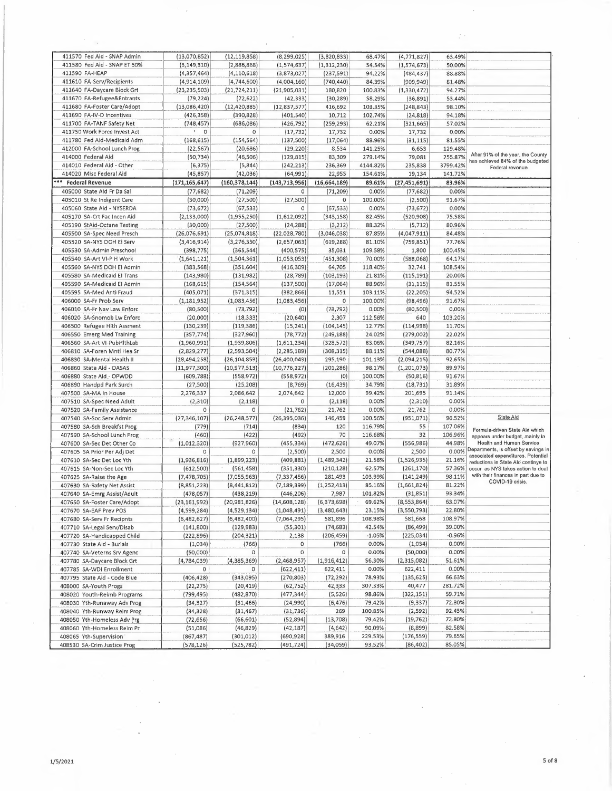| 411570 Fed Aid - SNAP Admin  | (13,070,852)              | (12, 119, 858)  | (8, 299, 025)   | (3,820,833)   | 68.47%   | (4, 771, 827)  | 63.49%   |                                      |
|------------------------------|---------------------------|-----------------|-----------------|---------------|----------|----------------|----------|--------------------------------------|
| 411580 Fed Aid - SNAP ET 50% | (3, 149, 310)             | (2,886,868)     |                 | (1, 312, 230) | 54.54%   |                | 50.00%   |                                      |
|                              |                           |                 | (1, 574, 637)   |               |          | (1, 574, 673)  |          |                                      |
| 411590 FA-HEAP               | (4, 357, 464)             | (4, 110, 618)   | (3,873,027)     | (237, 591)    | 94.22%   | (484, 437)     | 88.88%   |                                      |
| 411610 FA-Serv/Recipients    | (4,914,109)               | (4,744,600)     | (4,004,160)     | (740, 440)    | 84.39%   | (909, 949)     | 81.48%   |                                      |
| 411640 FA-Daycare Block Grt  | (23, 235, 503)            |                 |                 | 180,820       | 100.83%  |                | 94.27%   |                                      |
|                              |                           | (21, 724, 211)  | (21,905,031)    |               |          | (1, 330, 472)  |          |                                      |
| 411670 FA-Refugee&Entrants   | (79, 224)                 | (72, 622)       | (42, 333)       | (30, 289)     | 58.29%   | (36, 891)      | 53.44%   |                                      |
| 411680 FA-Foster Care/Adopt  | (13,086,420)              | (12, 420, 885)  | (12, 837, 577)  | 416,692       | 103.35%  | (248, 843)     | 98.10%   |                                      |
| 411690 FA-IV-D Incentives    | (426, 358)                | (390, 828)      | (401, 540)      | 10,712        | 102.74%  | (24, 818)      | 94.18%   |                                      |
|                              |                           |                 |                 |               |          |                |          |                                      |
| 411700 FA-TANF Safety Net    | (748, 457)                | (686,086)       | (426, 792)      | (259, 293)    | 62.21%   | (321, 665)     | 57.02%   |                                      |
| 411750 Work Force Invest Act | $\mathbb{R}^+$<br>$\circ$ | 0               | (17, 732)       | 17,732        | 0.00%    | 17,732         | 0.00%    |                                      |
| 411780 Fed Aid-Medicaid Adm  | (168, 615)                | (154, 564)      | (137, 500)      | (17,064)      | 88.96%   | (31, 115)      | 81.55%   |                                      |
|                              |                           |                 |                 |               |          |                |          |                                      |
| 412000 FA-School Lunch Prog  | (22, 567)                 | (20, 686)       | (29, 220)       | 8,534         | 141.25%  | 6,653          | 129.48%  |                                      |
| 414000 Federal Aid           | (50, 734)                 | (46, 506)       | (129, 815)      | 83,309        | 279.14%  | 79,081         | 255.87%  | After 91% of the year, the County    |
| 414010 Federal Aid - Other   | (6, 375)                  | (5,844)         | (242, 213)      | 236,369       | 4144.82% | 235,838        | 3799.42% | has achieved 84% of the budgeted     |
|                              |                           |                 |                 |               |          |                |          | Federal revenue                      |
| 414020 Misc Federal Aid      | (45, 857)                 | (42,036)        | (64, 991)       | 22,955        | 154.61%  | 19,134         | 141.72%  |                                      |
| *** Federal Revenue          | (171.165.647)             | (160, 378, 144) | (143, 713, 956) | (16,664,189)  | 89.61%   | (27, 451, 691) | 83.96%   |                                      |
| 405000 State Ald Fr Da Sal   | (77, 682)                 | (71, 209)       | 0               | (71, 209)     | 0.00%    | (77, 682)      | 0.00%    |                                      |
|                              |                           |                 |                 |               |          |                |          |                                      |
| 405010 St Re Indigent Care   | (30,000)                  | (27,500)        | (27, 500)       | 0             | 100.00%  | (2,500)        | 91.67%   |                                      |
| 405060 State Ald - NYSERDA   | (73, 672)                 | (67, 533)       | $\circ$         | (67, 533)     | 0.00%    | (73, 672)      | 0.00%    |                                      |
| 405170 SA-Crt Fac Incen Aid  |                           | (1,955,250)     | (1,612,092)     | (343, 158)    | 82.45%   | (520, 908)     | 75.58%   |                                      |
|                              | (2, 133, 000)             |                 |                 |               |          |                |          |                                      |
| 405190 StAid-Octane Testing  | (30,000)                  | (27,500)        | (24, 288)       | (3,212)       | 88.32%   | (5, 712)       | 80.96%   |                                      |
| 405500 SA-Spec Need Presch   | (26,076,691)              | (25,074,818)    | (22,028,780)    | (3,046,038)   | 87.85%   | (4,047,911)    | 84.48%   | $\epsilon$                           |
| 405520 SA-NYS DOH El Serv    | (3, 416, 914)             | (3, 276, 350)   | (2,657,063)     | (619, 288)    | 81.10%   | (759, 851)     | 77.76%   |                                      |
|                              |                           |                 |                 |               |          |                |          |                                      |
| 405530 SA-Admin Preschool    | (398, 775)                | (365, 544)      | (400, 575)      | 35,031        | 109.58%  | 1,800          | 100.45%  |                                      |
| 405540 SA-Art VI-P H Work    | (1,641,121)               | (1,504,361)     | (1,053,053)     | (451, 308)    | 70,00%   | (588,068)      | 64.17%   |                                      |
| 405560 SA-NYS DOH EI Admin   | (383, 568)                | (351, 604)      | (416, 309)      | 64,705        | 118.40%  | 32,741         | 108.54%  |                                      |
|                              |                           |                 |                 |               |          |                |          |                                      |
| 405580 SA-Medicaid El Trans  | (143,980)                 | (131, 982)      | (28, 789)       | (103, 193)    | 21.81%   | (115, 191)     | 20.00%   |                                      |
| 405590 SA-Medicaid El Admin  | (168, 615)                | (154, 564)      | (137, 500)      | (17,064)      | 88.96%   | (31, 115)      | 81.55%   |                                      |
| 405595 SA-Med Anti Fraud     | (405, 071)                | (371, 315)      | (382, 866)      | 11,551        | 103.11%  | (22, 205)      | 94.52%   |                                      |
|                              |                           |                 |                 |               |          |                |          |                                      |
| 406000 SA-Fr Prob Serv       | (1, 181, 952)             | (1,083,456)     | (1,083,456)     | 0             | 100.00%  | (98, 496)      | 91.67%   |                                      |
| 406010 SA-Fr Nav Law Enforc  | (80, 500)                 | (73, 792)       | (0)             | (73, 792)     | 0.00%    | (80, 500)      | 0.00%    |                                      |
| 406020 SA-Snomob Lw Enforc   | (20,000)                  | (18, 333)       | (20, 640)       | 2,307         | 112.58%  | 640            | 103.20%  |                                      |
|                              |                           |                 |                 |               |          |                |          |                                      |
| 406500 Refugee Hith Assment  | (130, 239)                | (119, 386)      | (15, 241)       | (104, 145)    | 12.77%   | (114, 998)     | 11.70%   |                                      |
| 406550 Emerg Med Training    | (357, 774)                | (327,960)       | (78, 772)       | (249, 188)    | 24.02%   | (279,002)      | 22.02%   |                                      |
| 406560 SA-Art VI-PubHlthLab  | (1,960,991)               | (1,939,806)     | (1,611,234)     | (328, 572)    | 83.06%   | (349, 757)     | 82.16%   |                                      |
|                              |                           |                 |                 |               |          |                |          |                                      |
| 406810 SA-Foren Mntl Hea Sr  | (2,829,277)               | (2,593,504)     | (2, 285, 189)   | (308, 315)    | 88.11%   | (544, 088)     | 80.77%   |                                      |
| 406830 SA-Mental Health II   | (28, 494, 258)            | (26, 104, 853)  | (26, 400, 043)  | 295,190       | 101.13%  | (2,094,215)    | 92.65%   |                                      |
| 406860 State Ald - OASAS     | (11,977,300)              | (10, 977, 513)  | (10, 776, 227)  | (201, 286)    | 98.17%   | (1,201,073)    | 89.97%   |                                      |
| 406880 State Ald - OPWDD     | (609, 788)                | (558, 972)      | (558, 972)      | (0)           | 100.00%  | (50, 816)      | 91.67%   |                                      |
|                              |                           |                 |                 |               |          |                |          |                                      |
| 406890 Handpd Park Surch     | (27,500)                  | (25, 208)       | (8,769)         | (16, 439)     | 34.79%   | (18, 731)      | 31.89%   |                                      |
| 407500 SA-MA In House        | 2,276,337                 | 2,086,642       | 2,074,642       | 12,000        | 99.42%   | 201,695        | 91.14%   |                                      |
| 407510 SA-Spec Need Adult    | (2,310)                   | (2, 118)        | 0               | (2, 118)      | 0.00%    | (2,310)        | 0.00%    |                                      |
| 407520 SA-Family Assistance  | $\mathbf 0$               | O               | (21, 762)       | 21,762        | 0.00%    | 21,762         | 0.00%    |                                      |
|                              |                           |                 |                 |               |          |                |          |                                      |
| 407540 SA-Soc Serv Admin     | (27, 346, 107)            | (26, 248, 577)  | (26, 395, 036)  | 146,459       | 100.56%  | (951,071)      | 96.52%   | State Aid                            |
| 407580 SA-Sch Breakfst Prog  | (779)                     | (714)           | (834)           | 120           | 116.79%  | 55             | 107.06%  |                                      |
| 407590 SA-School Lunch Prog  | (460)                     | (422)           | (492)           | 70            | 116.68%  | 32             | 106.96%  | Formula-driven State Aid which       |
|                              |                           |                 |                 |               |          |                |          | appears under budget, mainly in      |
| 407600 SA-Sec Det Other Co   | (1,012,320)               | (927, 960)      | (455, 334)      | (472, 626)    | 49.07%   | (556, 986)     | 44.98%   | Health and Human Service             |
| 407605 SA Prior Per Adj Det  | 0                         | O               | (2,500)         | 2,500         | 0.00%    | 2,500          | 0.00%    | Departments, is offset by savings in |
| 407610 SA-Sec Det Loc Yth    | (1,936,816)               | (1,899,223)     | (409, 881)      | (1,489,342)   | 21.58%   | (1,526,935)    | 21.16%   | associated expenditures. Potential   |
|                              |                           |                 |                 |               | 62.57%   |                | 57.36%   | reductions in State Ald continye to  |
| 407615 SA-Non-Sec Loc Yth    | (612, 500)                | (561, 458)      | (351, 330)      | (210, 128)    |          | (261, 170)     |          | occur as NYS takes action to deal    |
| 407625 SA-Raise the Age      | (7, 478, 705)             | (7,055,963)     | (7, 337, 456)   | 281,493       | 103.99%  | (141, 249)     | 98.11%   | with their finances In part due to   |
| 407630 SA-Safety Net Assist  | (8,851,223)               | (8, 441, 812)   | (7, 189, 399)   | (1, 252, 413) | 85.16%   | (1,661,824)    | 81.22%   | COVID-19 crisis.                     |
|                              | (478,057)                 | (438, 219)      | (446, 206)      | 7,987         | 101.82%  | (31, 851)      | 93,34%   |                                      |
| 407640 SA-Emrg Assist/Adult  |                           |                 |                 |               |          |                |          |                                      |
| 407650 SA-Foster Care/Adopt  | (23, 161, 992)            | (20, 981, 826)  | (14,608,128)    | (6,373,698)   | 69.62%   | (8,553,864)    | 63.07%   |                                      |
| 407670 SA-EAF Prev POS       | (4, 599, 284)             | (4,529,134)     | (1,048,491)     | (3,480,643)   | 23.15%   | (3,550,793)    | 22.80%   |                                      |
| 407680 SA-Serv Fr Recipnts   | (6,482,627)               | (6,482,400)     | (7,064,295)     | 581,896       | 108.98%  | 581,668        | 108.97%  |                                      |
|                              |                           |                 |                 |               |          |                |          |                                      |
| 407710 SA-Legal Serv/Disab   | (141,800)                 | (129, 983)      | (55, 301)       | (74, 683)     | 42.54%   | (86, 499)      | 39.00%   |                                      |
| 407720 SA-Handicapped Child  | (222, 896)                | (204, 321)      | 2,138           | (206, 459)    | $-1.05%$ | (225, 034)     | $-0.96%$ |                                      |
| 407730 State Aid - Burials   | (1,034)                   | (766)           | 0               | (766)         | 0.00%    | (1,034)        | 0.00%    |                                      |
| 407740 SA-Veterns Srv Agenc  |                           | 0               | 0               | 0             | 0.00%    | (50,000)       | 0.00%    |                                      |
|                              | (50,000)                  |                 |                 |               |          |                |          |                                      |
| 407780 SA-Daycare Block Grt  | (4,784,039)               | (4, 385, 369)   | (2,468,957)     | (1,916,412)   | 56.30%   | (2,315,082)    | 51.61%   |                                      |
| 407785 SA-WDI Enrollment     | 0                         | 0               | (622, 411)      | 622,411       | 0.00%    | 622,411        | 0.00%    |                                      |
| 407795 State Aid - Code Blue | (406, 428)                | (343,095)       | (270, 803)      | (72, 292)     | 78.93%   | (135, 625)     | 66.63%   |                                      |
|                              |                           |                 |                 |               |          |                |          |                                      |
| 408000 SA-Youth Progs        | (22, 275)                 | (20, 419)       | (62, 752)       | 42,333        | 307.33%  | 40,477         | 281.72%  |                                      |
| 408020 Youth-Reimb Programs  | (799, 495)                | (482, 870)      | (477,344)       | (5,526)       | 98.86%   | (322, 151)     | 59.71%   |                                      |
| 408030 Yth-Runaway Adv Prog  | (34,327)                  | (31, 466)       | (24,990)        | (6, 476)      | 79.42%   | (9, 337)       | 72.80%   |                                      |
| 408040 Yth-Runway Reim Prog  | (34, 328)                 | (31, 467)       | (31, 736)       | 269           | 100.85%  | (2, 592)       | 92,45%   |                                      |
|                              |                           |                 |                 |               |          |                |          |                                      |
| 408050 Yth-Homeless Adv Prg  | (72, 656)                 | (66, 601)       | (52, 894)       | (13, 708)     | 79.42%   | (19, 762)      | 72.80%   |                                      |
| 408060 Yth-Homeless Reim Pr  | (51,086)                  | (46, 829)       | (42, 187)       | (4,642)       | 90.09%   | (8,899)        | 82.58%   |                                      |
| 408065 Yth-Supervision       | (867, 487)                | (301, 012)      | (690, 928)      | 389,916       | 229.53%  | (176, 559)     | 79.65%   |                                      |
|                              |                           |                 |                 |               |          |                |          |                                      |
| 408530 SA-Crim Justice Prog  | (578, 126)                | (525, 782)      | (491, 724)      | (34,059)      | 93.52%   | (86, 402)      | 85.05%   |                                      |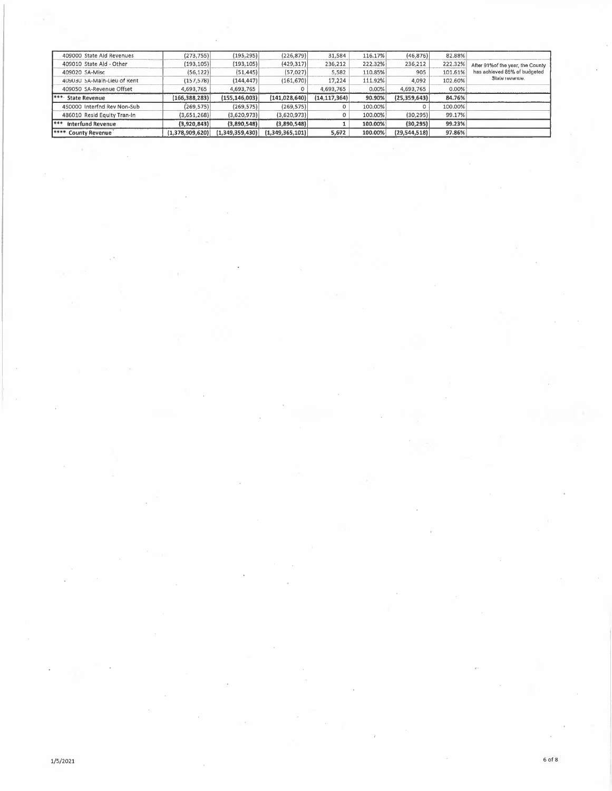| 409000 State Aid Revenues   | (273, 755)      | (195, 295)      | (226, 879)      | 31.584         | 116.17% | (46, 876)      | 82.88%  |                                   |
|-----------------------------|-----------------|-----------------|-----------------|----------------|---------|----------------|---------|-----------------------------------|
| 409010 State Aid - Other    | (193, 105)      | (193,105)       | (429, 317)      | 236,212        | 222.32% | 236,212        | 222.32% | After 91% of the year, the County |
| 409020 SA-Misc              | (56, 122)       | (51, 445)       | (57,027)        | 5,582          | 110.85% | 905            | 101.61% | has achieved 85% of budgeted      |
| 409030 SA-Main-Lieu of Rent | (157, 578)      | (144, 447)      | (161, 670)      | 17,224         | 111.92% | 4.092          | 102.60% | State revenue.                    |
| 409050 SA-Revenue Offset    | 4,693,765       | 4,693,765       |                 | 4,693,765      | 0.00%   | 4,693,765      | 0.00%   |                                   |
|                             |                 |                 |                 |                |         |                |         |                                   |
| <b>1***</b> State Revenue   | (166, 388, 283) | (155, 146, 003) | (141, 028, 640) | (14, 117, 364) | 90.90%  | (25, 359, 643) | 84.76%  |                                   |
| 450000 Interfnd Rev Non-Sub | (269.575)       | (269, 575)      | (269, 575)      |                | 100.00% |                | 100.00% |                                   |
| 486010 Resid Equity Tran-In | (3,651,268)     | (3,620,973)     | (3,620,973)     |                | 100.00% | (30, 295)      | 99.17%  |                                   |
| ***<br>Interfund Revenue    | (3,920,843)     | (3.890.548)     | (3,890,548)     |                | 100.00% | (30, 295)      | 99.23%  |                                   |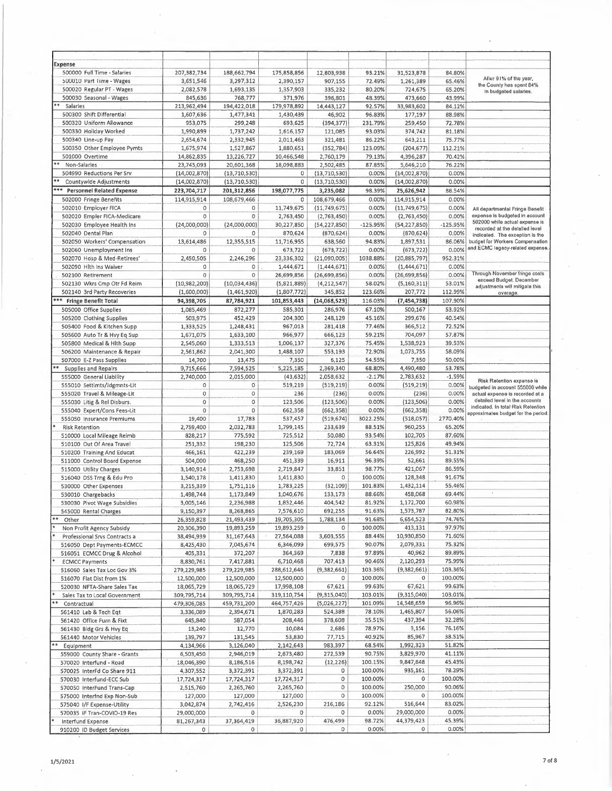| Expense                          |                |                |             |                |            |                |            |                                                                     |
|----------------------------------|----------------|----------------|-------------|----------------|------------|----------------|------------|---------------------------------------------------------------------|
| 500000 Full Time - Salaries      | 207,382,734    | 188,662,794    | 175,858,856 | 12,803,938     | 93.21%     | 31,523,878     | 84.80%     |                                                                     |
| 500010 Part Time - Wages         | 3,651,546      | 3,297,312      | 2,390,157   | 907,155        | 72.49%     | 1,261,389      | 65.46%     | After 91% of the year,                                              |
| 500020 Regular PT - Wages        | 2,082,578      | 1,693,135      | 1,357,903   | 335,232        | 80.20%     | 724,675        | 65.20%     | the County has spent 84%<br>In budgeted salaries.                   |
| 500030 Seasonal - Wages          | 845,636        | 768,777        | 371,976     | 396,801        | 48.39%     | 473,660        | 43.99%     |                                                                     |
| Salaries                         | 213,962,494    | 194,422,018    | 179,978,892 | 14,443,127     | 92.57%     | 33,983,602     | 84.12%     |                                                                     |
| 500300 Shift Differential        | 1,607,636      | 1,477,341      | 1,430,439   | 46,902         | 96.83%     | 177,197        | 88.98%     |                                                                     |
| 500320 Uniform Allowance         | 953,075        | 299,248        | 693,625     | (394, 377)     | 231.79%    | 259,450        | 72.78%     |                                                                     |
| 500330 Holiday Worked            | 1,990,899      | 1,737,242      | 1,616,157   | 121,085        | 93.03%     | 374,742        | 81.18%     |                                                                     |
| 500340 Line-up Pay               | 2,654,674      | 2,332,945      | 2,011,463   | 321,481        | 86.22%     | 643,211        | 75.77%     |                                                                     |
| 500350 Other Employee Pymts      | 1,675,974      | 1,527,867      | 1,880,651   | (352, 784)     | 123.09%    | (204, 677)     | 112.21%    |                                                                     |
| 501000 Overtime                  | 14,862,835     | 13,226,727     | 10,466,548  | 2,760,179      | 79.13%     | 4,396,287      | 70.42%     |                                                                     |
| Non-Salarles                     | 23,745,093     | 20,601,368     | 18,098,883  | 2,502,485      | 87.85%     | 5,646,210      | 76.22%     |                                                                     |
| 504990 Reductions Per Srv        | (14,002,870)   | (13,710,530)   | 0           | (13, 710, 530) | 0.00%      | (14,002,870)   | 0.00%      |                                                                     |
| Countywide Adjustments           | (14,002,870)   | (13, 710, 530) | 0           | (13, 710, 530) | 0.00%      | (14,002,870)   | 0.00%      |                                                                     |
| <b>Personnel Related Expense</b> | 223,704,717    | 201,312,856    | 198,077,775 | 3,235,082      | 98.39%     | 25,626,942     | 88.54%     |                                                                     |
| 502000 Fringe Benefits           | 114,915,914    | 108,679,466    | 0           | 108,679,466    | 0.00%      | 114,915,914    | 0.00%      |                                                                     |
| 502010 Employer FICA             | $\mathbb O$    | 0              | 11,749,675  | (11,749,675)   | 0.00%      | (11,749,675)   | 0.00%      | All departmental Fringe Benefit                                     |
| 502020 Empler FICA-Medicare      | $\mathbb O$    | $\circ$        | 2,763,450   | (2,763,450)    | 0.00%      | (2,763,450)    | 0.00%      | expense is budgeted in account                                      |
| 502030 Employee Health Ins       | (24,000,000)   | (24,000,000)   | 30,227,850  | (54, 227, 850) | $-125.95%$ | (54, 227, 850) | $-125.95%$ | 502000 while actual expense is                                      |
| 502040 Dental Plan               | 0              | 0              | 870,624     | (870, 624)     | 0.00%      | (870, 624)     | 0.00%      | recorded at the detailed level<br>indicated. The exception is the   |
| 502050 Workers' Compensation     | 13,614,486     | 12,355,515     | 11,716,955  | 638,560        | 94.83%     | 1,897,531      | 86.06%     | budget for Workers Compensation                                     |
| 502060 Unemployment Ins          | 0              | 0              | 673,722     | (673, 722)     | 0.00%      | (673, 722)     | 0.00%      | and ECMC legacy-related expense.                                    |
| 502070 Hosp & Med-Retirees'      | 2,450,505      | 2,246,296      | 23,336,302  | (21,090,005)   | 1038.88%   | (20, 885, 797) | 952.31%    |                                                                     |
| 502090 Hlth Ins Waiver           | 0              | 0              | 1,444,671   | (1, 444, 671)  | 0.00%      | (1, 444, 671)  | 0.00%      |                                                                     |
| 502100 Retirement                | $\rm ^o$       | $\circ$        | 26,699,856  | (26, 699, 856) | 0.00%      | (26,699,856)   | 0.00%      | Through November fringe costs                                       |
| 502130 Wkrs Cmp Otr Fd Reim      | (10, 982, 200) | (10,034,436)   | (5,821,889) | (4, 212, 547)  | 58.02%     | (5, 160, 311)  | 53.01%     | exceed Budget. December                                             |
| 502140 3rd Party Recoveries      | (1,600,000)    | (1,461,920)    | (1,807,772) | 345,852        | 123.66%    | 207,772        | 112.99%    | adjustments will mitigate this<br>overage.                          |
| *** Fringe Benefit Total         | 94,398,705     | 87,784,921     | 101,853,443 | (14,068,523)   | 116.03%    | (7,454,738)    | 107.90%    |                                                                     |
| 505000 Office Supplies           | 1,085,469      | 872,277        | 585,301     | 286,976        | 67.10%     | 500,167        | 53.92%     |                                                                     |
| 505200 Clothing Supplies         | 503,975        | 452,429        | 204,300     | 248,129        | 45.16%     | 299,676        | 40.54%     |                                                                     |
| 505400 Food & Kitchen Supp       | 1,333,525      | 1,248,431      | 967,013     | 281,418        | 77.46%     | 366,512        | 72.52%     |                                                                     |
| 505600 Auto Tr & Hvy Eq Sup      | 1,671,075      | 1,633,100      | 966,977     | 666,123        | 59.21%     | 704,097        | 57.87%     |                                                                     |
| 505800 Medical & Hlth Supp       | 2,545,060      | 1,333,513      | 1,006,137   | 327,376        | 75.45%     | 1,538,923      | 39.53%     |                                                                     |
| 506200 Maintenance & Repair      | 2,561,862      | 2,041,300      | 1,488,107   | 553,193        | 72.90%     | 1,073,755      | 58.09%     |                                                                     |
| 507000 E-Z Pass Supplies         | 14,700         | 13,475         | 7,350       | 6,125          | 54.55%     | 7,350          | 50.00%     |                                                                     |
| Supplies and Repairs             | 9,715,666      | 7,594,525      | 5,225,185   | 2,369,340      | 68.80%     | 4,490,480      | 53.78%     |                                                                     |
| 555000 General Liability         | 2,740,000      | 2,015,000      | (43, 632)   | 2,058,632      | $-2.17%$   | 2,783,632      | $-1.59%$   |                                                                     |
| 555010 Settlmts/Jdgmnts-Lit      | 0              | $\circ$        | 519,219     | (519, 219)     | 0.00%      | (519, 219)     | 0.00%      | Risk Retention expense is                                           |
| 555020 Travel & Mileage-Lit      | $\circ$        | $\mathsf 0$    | 236         | (236)          | 0.00%      | (236)          | 0.00%      | budgeted in account 555000 while<br>actual expense is recorded at a |
| 555030 Litig & Rel Disburs.      | $\,0\,$        | $\mathbf 0$    | 123,506     | (123, 506)     | 0.00%      | (123, 506)     | 0.00%      | detailed level in the accounts                                      |
| 555040 Expert/Cons Fees-Lit      | $\mathbf 0$    | $\mathbf 0$    | 662,358     | (662, 358)     | 0.00%      | (662, 358)     | 0.00%      | indicated. In total Risk Retention                                  |
| 555050 Insurance Premiums        | 19,400         | 17,783         | 537,457     | (519, 674)     | 3022.25%   | (518,057)      | 2770.40%   | approximates budget for the period.                                 |
| <b>Risk Retention</b>            | 2,759,400      | 2,032,783      | 1,799,145   | 233,639        | 88.51%     | 960,255        | 65.20%     |                                                                     |
| 510000 Local Mileage Reimb       | 828,217        | 775,592        | 725,512     | 50,080         | 93.54%     | 102,705        | 87.60%     |                                                                     |
| 510100 Out Of Area Travel        | 251,332        | 198,230        | 125,506     | 72,724         | 63.31%     | 125,826        | 49.94%     |                                                                     |
| 510200 Training And Educat       | 466,161        | 422,239        | 239,169     | 183,069        | 56.64%     | 226,992        | 51.31%     |                                                                     |
| 511000 Control Board Expense     | 504,000        | 468,250        | 451,339     | 16,911         | 96.39%     | 52,661         | 89.55%     |                                                                     |
| 515000 Utility Charges           | 3,140,914      | 2,753,698      | 2,719,847   | 33,851         | 98.77%     | 421,067        | 86.59%     |                                                                     |
| 516040 DSS Trng & Edu Pro        | 1,540,178      | 1,411,830      | 1,411,830   | 0              | 100.00%    | 128,348        | 91.67%     |                                                                     |
| 530000 Other Expenses            | 3,215,339      | 1,751,116      | 1,783,225   | (32, 109)      | 101.83%    | 1,432,114      | 55.46%     |                                                                     |
| 530010 Chargebacks               | 1,498,744      | 1,173,849      | 1,040,676   | 133,173        | 88.66%     | 458,068        | 69.44%     |                                                                     |
| 530030 Pivot Wage Subsidies      | 3,005,146      | 2,236,988      | 1,832,446   | 404,542        | 81.92%     | 1,172,700      | 60.98%     |                                                                     |
| 545000 Rental Charges            | 9,150,397      | 8,268,865      | 7,576,610   | 692,255        | 91.63%     | 1,573,787      | 82.80%     |                                                                     |
| **<br>Other                      | 26,359,828     | 21,493,439     | 19,705,305  | 1,788,134      | 91.68%     | 6,654,523      | 74.76%     |                                                                     |
| Non Profit Agency Subsidy        | 20,306,390     | 19,893,259     | 19,893,259  | $\circ$        | 100.00%    | 413,131        | 97.97%     |                                                                     |
| Professional Srvs Contracts a    | 38,494,939     | 31,167,643     | 27,564,088  | 3,603,555      | 88.44%     | 10,930,850     | 71.60%     |                                                                     |
| 516050 Dept Payments-ECMCC       | 8,425,430      | 7,045,674      | 6,346,099   | 699,575        | 90.07%     | 2,079,331      | 75.32%     |                                                                     |
| 516051 ECMCC Drug & Alcohol      | 405,331        | 372,207        | 364,369     | 7,838          | 97.89%     | 40,962         | 89.89%     |                                                                     |
| <b>ECMCC Payments</b>            | 8,830,761      | 7,417,881      | 6,710,468   | 707,413        | 90.46%     | 2,120,293      | 75.99%     |                                                                     |
| 516060 Sales Tax Loc Gov 3%      | 279,229,985    | 279,229,985    | 288,612,646 | (9,382,661)    | 103.36%    | (9, 382, 661)  | 103.36%    |                                                                     |
| 516070 Flat Dist from 1%         | 12,500,000     | 12,500,000     | 12,500,000  | $\mathsf{o}\,$ | 100.00%    | $\mathbf 0$    | 100.00%    |                                                                     |
| 520030 NFTA-Share Sales Tax      | 18,065,729     | 18,065,729     | 17,998,108  | 67,621         | 99.63%     | 67,621         | 99.63%     |                                                                     |
| Sales Tax to Local Government    | 309,795,714    | 309,795,714    | 319,110,754 | (9, 315, 040)  | 103.01%    | (9,315,040)    | 103.01%    |                                                                     |
| **<br>Contractual                | 479,306,085    | 459,731,200    | 464,757,426 | (5,026,227)    | 101.09%    | 14,548,659     | 96,96%     |                                                                     |
| 561410 Lab & Tech Eqt            | 3,336,089      | 2,394,671      | 1,870,283   | 524,388        | 78.10%     | 1,465,807      | 56.06%     |                                                                     |
| 561420 Office Furn & Fixt        | 645,840        | 587,054        | 208,446     | 378,608        | 35.51%     | 437,394        | 32.28%     |                                                                     |
| 561430 Bldg Grs & Hvy Eq         | 13,240         | 12,770         | 10,084      | 2,686          | 78.97%     | 3,156          | 76,16%     |                                                                     |
| 561440 Motor Vehicles            | 139,797        | 131,545        | 53,830      | 77,715         | 40.92%     | 85,967         | 38.51%     |                                                                     |
| Equipment                        | 4,134,966      | 3,126,040      | 2,142,643   | 983,397        | 68.54%     | 1,992,323      | 51.82%     |                                                                     |
| 559000 County Share - Grants     | 6,503,450      | 2,946,019      | 2,673,480   | 272,539        | 90.75%     | 3,829,970      | 41.11%     |                                                                     |
| 570020 Interfund - Road          | 18,046,390     | 8,186,516      | 8,198,742   | (12, 226)      | 100.15%    | 9,847,648      | 45.43%     |                                                                     |
| 570025 InterFd Co Share 911      | 4,307,552      | 3,372,391      | 3,372,391   | 0              | 100.00%    | 935,161        | 78.29%     |                                                                     |
| 570030 Interfund-ECC Sub         | 17,724,317     | 17,724,317     | 17,724,317  | $\,$ O         | 100.00%    | 0              | 100.00%    |                                                                     |
| 570050 InterFund Trans-Cap       | 2,515,760      | 2,265,760      | 2,265,760   | $\circ$        | 100.00%    | 250,000        | 90.06%     |                                                                     |
| 575000 Interfnd Exp Non-Sub      | 127,000        | 127,000        | 127,000     | $\mathsf O$    | 100.00%    | $\bf{0}$       | 100.00%    |                                                                     |
| 575040 I/F Expense-Utility       | 3,042,874      | 2,742,416      | 2,526,230   | 216,186        | 92.12%     | 516,644        | 83.02%     |                                                                     |
| 570035 IF Tran-COVID-19 Res      | 29,000,000     | 0              | 0           | O              | 0.00%      | 29,000,000     | 0.00%      |                                                                     |
| Interfund Expense                | 81,267,343     | 37,364,419     | 36,887,920  | 476,499        | 98.72%     | 44,379,423     | 45.39%     |                                                                     |
| 910200 ID Budget Services        | 0              | 0              | $\circ$     | 0              | 0.00%      | $\circ$        | 0.00%      |                                                                     |